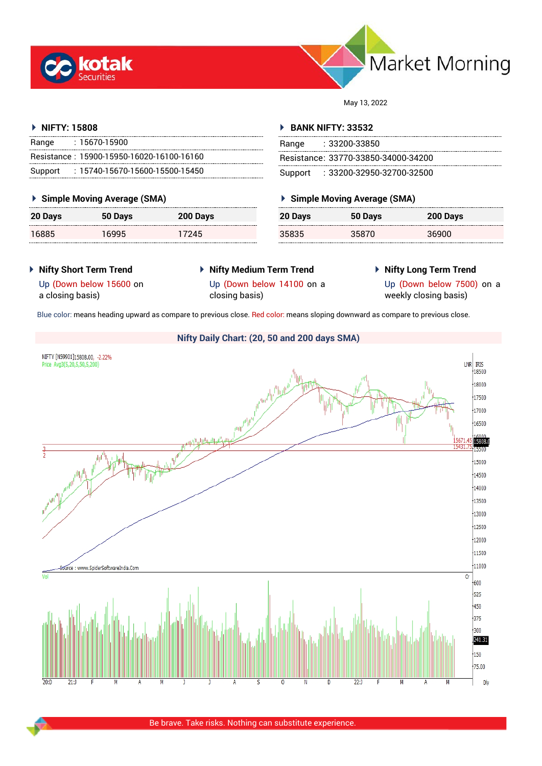



May 13, 2022

# **NIFTY: 15808**

| Range | $: 15670 - 15900$                         |
|-------|-------------------------------------------|
|       | Resistance: 15900-15950-16020-16100-16160 |
|       | Support: 15740-15670-15600-15500-15450    |

# **Simple Moving Average (SMA)**

| 20 Days | 50 Days | 200 Days |
|---------|---------|----------|
| 16885   | 16995   | 17245    |

# **BANK NIFTY: 33532**

| Range | : 33200-33850                       |
|-------|-------------------------------------|
|       | Resistance: 33770-33850-34000-34200 |
|       | Support: : 33200-32950-32700-32500  |

# **Simple Moving Average (SMA)**

| 20 Days | 50 Days | 200 Days |
|---------|---------|----------|
| 35835   | 35870   | 36900    |

# **Nifty Short Term Trend**

- **Nifty Medium Term Trend**
- **Nifty Long Term Trend**

a closing basis)

Up (Down below 15600 on

Up (Down below 14100 on a closing basis)

Up (Down below 7500) on a weekly closing basis)

Blue color: means heading upward as compare to previous close. Red color: means sloping downward as compare to previous close.

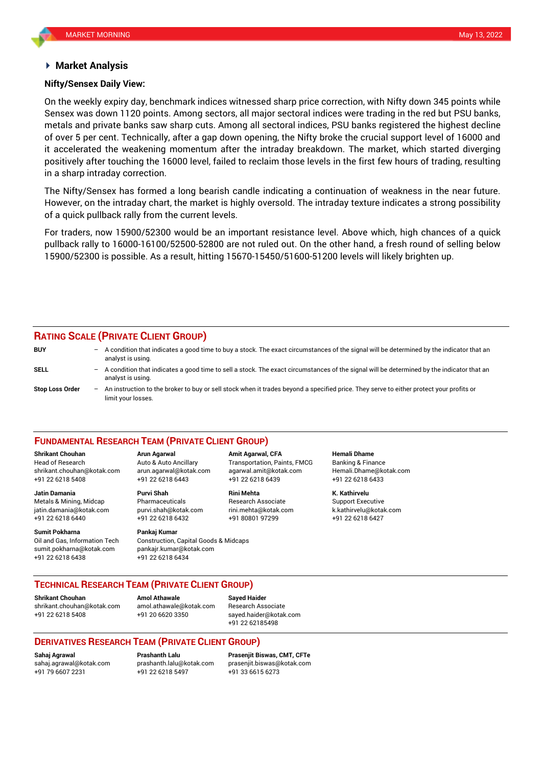## **Market Analysis**

## **Nifty/Sensex Daily View:**

On the weekly expiry day, benchmark indices witnessed sharp price correction, with Nifty down 345 points while Sensex was down 1120 points. Among sectors, all major sectoral indices were trading in the red but PSU banks, metals and private banks saw sharp cuts. Among all sectoral indices, PSU banks registered the highest decline of over 5 per cent. Technically, after a gap down opening, the Nifty broke the crucial support level of 16000 and it accelerated the weakening momentum after the intraday breakdown. The market, which started diverging positively after touching the 16000 level, failed to reclaim those levels in the first few hours of trading, resulting in a sharp intraday correction.

The Nifty/Sensex has formed a long bearish candle indicating a continuation of weakness in the near future. However, on the intraday chart, the market is highly oversold. The intraday texture indicates a strong possibility of a quick pullback rally from the current levels.

For traders, now 15900/52300 would be an important resistance level. Above which, high chances of a quick pullback rally to 16000-16100/52500-52800 are not ruled out. On the other hand, a fresh round of selling below 15900/52300 is possible. As a result, hitting 15670-15450/51600-51200 levels will likely brighten up.

# **RATING SCALE (PRIVATE CLIENT GROUP)**

| <b>BUY</b>             | - A condition that indicates a good time to buy a stock. The exact circumstances of the signal will be determined by the indicator that an<br>analyst is using. |
|------------------------|-----------------------------------------------------------------------------------------------------------------------------------------------------------------|
| SELL                   | A condition that indicates a good time to sell a stock. The exact circumstances of the signal will be determined by the indicator that an<br>analyst is using.  |
| <b>Stop Loss Order</b> | - An instruction to the broker to buy or sell stock when it trades beyond a specified price. They serve to either protect your profits or<br>limit your losses. |

### **FUNDAMENTAL RESEARCH TEAM (PRIVATE CLIENT GROUP)**

Head of Research Auto & Auto Ancillary Transportation, Paints, FMCG Banking & Finance [shrikant.chouhan@kotak.com](mailto:shrikant.chouhan@kotak.com) arun.agarwal@kotak.com agarwal.amit@kotak.com Hemali.Dhame@kotak.com

**Jatin Damania Purvi Shah Rini Mehta K. Kathirvelu** Metals & Mining, Midcap Pharmaceuticals Research Associate Support Executive jatin.damania@kotak.com [purvi.shah@kotak.com](mailto:purvi.shah@kotak.com) rini.mehta@kotak.com [k.kathirvelu@kotak.com](mailto:k.kathirvelu@kotak.com) +91 22 6218 6440 +91 22 6218 6432 +91 80801 97299 +91 22 6218 6427

**Sumit Pokharna** Pankaj Kumar

Oil and Gas, Information Tech Construction, Capital Goods & Midcaps sumit.pokharna@kotak.com pankajr.kumar@kotak.com +91 22 6218 6438 +91 22 6218 6434

+91 22 6218 5408 +91 22 6218 6443 +91 22 6218 6439 +91 22 6218 6433

**Shrikant Chouhan Arun Agarwal Amit Agarwal, CFA Hemali Dhame**

# **TECHNICAL RESEARCH TEAM (PRIVATE CLIENT GROUP)**

**Shrikant Chouhan Amol Athawale Sayed Haider**

[shrikant.chouhan@kotak.com](mailto:shrikant.chouhan@kotak.com) [amol.athawale@kotak.com](mailto:amol.athawale@kotak.com) Research Associate +91 22 6218 5408 +91 20 6620 3350 [sayed.haider@kotak.com](mailto:sayed.haider@kotak.com)

+91 22 62185498

# **DERIVATIVES RESEARCH TEAM (PRIVATE CLIENT GROUP)**

+91 22 6218 5497 +91 33 6615 6273

**Sahaj Agrawal Prashanth Lalu Prasenjit Biswas, CMT, CFTe** [sahaj.agrawal@kotak.com](mailto:sahaj.agrawal@kotak.com) [prashanth.lalu@kotak.com](mailto:prashanth.lalu@kotak.com) [prasenjit.biswas@kotak.com](mailto:prasenjit.biswas@kotak.com)